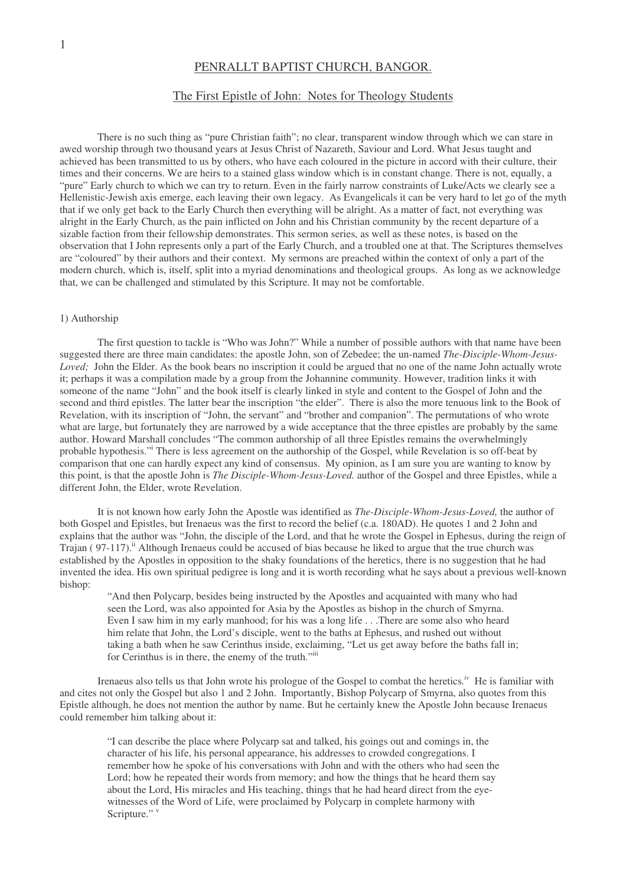# PENRALLT BAPTIST CHURCH, BANGOR.

## The First Epistle of John: Notes for Theology Students

There is no such thing as "pure Christian faith"; no clear, transparent window through which we can stare in awed worship through two thousand years at Jesus Christ of Nazareth, Saviour and Lord. What Jesus taught and achieved has been transmitted to us by others, who have each coloured in the picture in accord with their culture, their times and their concerns. We are heirs to a stained glass window which is in constant change. There is not, equally, a "pure" Early church to which we can try to return. Even in the fairly narrow constraints of Luke/Acts we clearly see a Hellenistic-Jewish axis emerge, each leaving their own legacy. As Evangelicals it can be very hard to let go of the myth that if we only get back to the Early Church then everything will be alright. As a matter of fact, not everything was alright in the Early Church, as the pain inflicted on John and his Christian community by the recent departure of a sizable faction from their fellowship demonstrates. This sermon series, as well as these notes, is based on the observation that I John represents only a part of the Early Church, and a troubled one at that. The Scriptures themselves are "coloured" by their authors and their context. My sermons are preached within the context of only a part of the modern church, which is, itself, split into a myriad denominations and theological groups. As long as we acknowledge that, we can be challenged and stimulated by this Scripture. It may not be comfortable.

### 1) Authorship

The first question to tackle is "Who was John?" While a number of possible authors with that name have been suggested there are three main candidates: the apostle John, son of Zebedee; the un-named *The-Disciple-Whom-Jesus-Loved;* John the Elder. As the book bears no inscription it could be argued that no one of the name John actually wrote it; perhaps it was a compilation made by a group from the Johannine community. However, tradition links it with someone of the name "John" and the book itself is clearly linked in style and content to the Gospel of John and the second and third epistles. The latter bear the inscription "the elder". There is also the more tenuous link to the Book of Revelation, with its inscription of "John, the servant" and "brother and companion". The permutations of who wrote what are large, but fortunately they are narrowed by a wide acceptance that the three epistles are probably by the same author. Howard Marshall concludes "The common authorship of all three Epistles remains the overwhelmingly probable hypothesis." There is less agreement on the authorship of the Gospel, while Revelation is so off-beat by comparison that one can hardly expect any kind of consensus. My opinion, as I am sure you are wanting to know by this point, is that the apostle John is *The Disciple-Whom-Jesus-Loved.* author of the Gospel and three Epistles, while a different John, the Elder, wrote Revelation.

It is not known how early John the Apostle was identified as *The-Disciple-Whom-Jesus-Loved,* the author of both Gospel and Epistles, but Irenaeus was the first to record the belief (c.a. 180AD). He quotes 1 and 2 John and explains that the author was "John, the disciple of the Lord, and that he wrote the Gospel in Ephesus, during the reign of Trajan (97-117).<sup>ii</sup> Although Irenaeus could be accused of bias because he liked to argue that the true church was established by the Apostles in opposition to the shaky foundations of the heretics, there is no suggestion that he had invented the idea. His own spiritual pedigree is long and it is worth recording what he says about a previous well-known bishop:

"And then Polycarp, besides being instructed by the Apostles and acquainted with many who had seen the Lord, was also appointed for Asia by the Apostles as bishop in the church of Smyrna. Even I saw him in my early manhood; for his was a long life . . .There are some also who heard him relate that John, the Lord's disciple, went to the baths at Ephesus, and rushed out without taking a bath when he saw Cerinthus inside, exclaiming, "Let us get away before the baths fall in; for Cerinthus is in there, the enemy of the truth."<sup>iii</sup>

Irenaeus also tells us that John wrote his prologue of the Gospel to combat the heretics.<sup>*iv*</sup> He is familiar with and cites not only the Gospel but also 1 and 2 John. Importantly, Bishop Polycarp of Smyrna, also quotes from this Epistle although, he does not mention the author by name. But he certainly knew the Apostle John because Irenaeus could remember him talking about it:

"I can describe the place where Polycarp sat and talked, his goings out and comings in, the character of his life, his personal appearance, his addresses to crowded congregations. I remember how he spoke of his conversations with John and with the others who had seen the Lord; how he repeated their words from memory; and how the things that he heard them say about the Lord, His miracles and His teaching, things that he had heard direct from the eyewitnesses of the Word of Life, were proclaimed by Polycarp in complete harmony with Scripture." v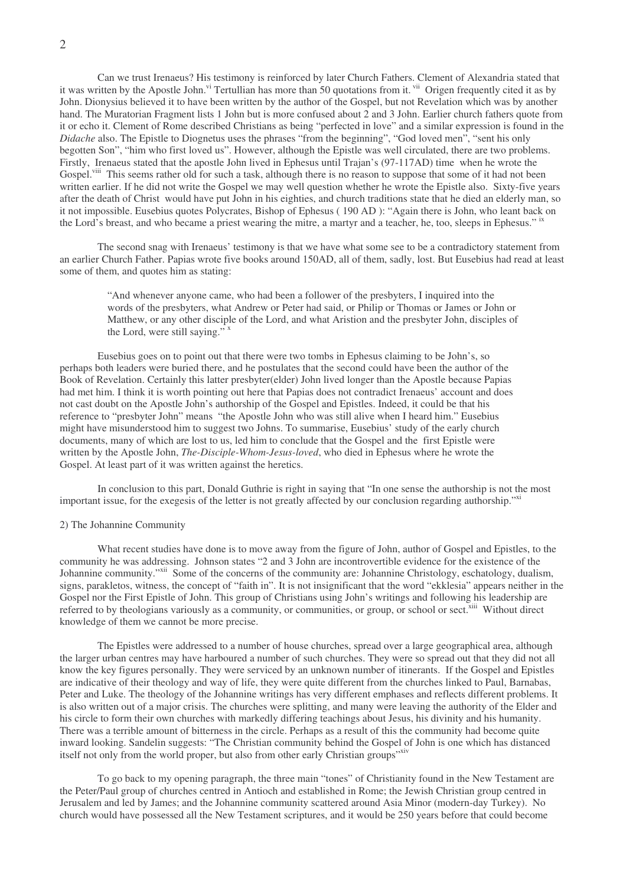Can we trust Irenaeus? His testimony is reinforced by later Church Fathers. Clement of Alexandria stated that it was written by the Apostle John.<sup>vi</sup> Tertullian has more than 50 quotations from it. <sup>vii</sup> Origen frequently cited it as by John. Dionysius believed it to have been written by the author of the Gospel, but not Revelation which was by another hand. The Muratorian Fragment lists 1 John but is more confused about 2 and 3 John. Earlier church fathers quote from it or echo it. Clement of Rome described Christians as being "perfected in love" and a similar expression is found in the *Didache* also. The Epistle to Diognetus uses the phrases "from the beginning", "God loved men", "sent his only begotten Son", "him who first loved us". However, although the Epistle was well circulated, there are two problems. Firstly, Irenaeus stated that the apostle John lived in Ephesus until Trajan's (97-117AD) time when he wrote the Gospel.<sup>viii</sup> This seems rather old for such a task, although there is no reason to suppose that some of it had not been written earlier. If he did not write the Gospel we may well question whether he wrote the Epistle also. Sixty-five years after the death of Christ would have put John in his eighties, and church traditions state that he died an elderly man, so it not impossible. Eusebius quotes Polycrates, Bishop of Ephesus ( 190 AD ): "Again there is John, who leant back on the Lord's breast, and who became a priest wearing the mitre, a martyr and a teacher, he, too, sleeps in Ephesus." ix

The second snag with Irenaeus' testimony is that we have what some see to be a contradictory statement from an earlier Church Father. Papias wrote five books around 150AD, all of them, sadly, lost. But Eusebius had read at least some of them, and quotes him as stating:

"And whenever anyone came, who had been a follower of the presbyters, I inquired into the words of the presbyters, what Andrew or Peter had said, or Philip or Thomas or James or John or Matthew, or any other disciple of the Lord, and what Aristion and the presbyter John, disciples of the Lord, were still saying."<sup>x</sup>

Eusebius goes on to point out that there were two tombs in Ephesus claiming to be John's, so perhaps both leaders were buried there, and he postulates that the second could have been the author of the Book of Revelation. Certainly this latter presbyter(elder) John lived longer than the Apostle because Papias had met him. I think it is worth pointing out here that Papias does not contradict Irenaeus' account and does not cast doubt on the Apostle John's authorship of the Gospel and Epistles. Indeed, it could be that his reference to "presbyter John" means "the Apostle John who was still alive when I heard him." Eusebius might have misunderstood him to suggest two Johns. To summarise, Eusebius' study of the early church documents, many of which are lost to us, led him to conclude that the Gospel and the first Epistle were written by the Apostle John, *The-Disciple-Whom-Jesus-loved*, who died in Ephesus where he wrote the Gospel. At least part of it was written against the heretics.

In conclusion to this part, Donald Guthrie is right in saying that "In one sense the authorship is not the most important issue, for the exegesis of the letter is not greatly affected by our conclusion regarding authorship."<sup>xi</sup>

### 2) The Johannine Community

What recent studies have done is to move away from the figure of John, author of Gospel and Epistles, to the community he was addressing. Johnson states "2 and 3 John are incontrovertible evidence for the existence of the Johannine community."<sup>xii</sup> Some of the concerns of the community are: Johannine Christology, eschatology, dualism, signs, parakletos, witness, the concept of "faith in". It is not insignificant that the word "ekklesia" appears neither in the Gospel nor the First Epistle of John. This group of Christians using John's writings and following his leadership are referred to by theologians variously as a community, or communities, or group, or school or sect.<sup>xiii</sup> Without direct knowledge of them we cannot be more precise.

The Epistles were addressed to a number of house churches, spread over a large geographical area, although the larger urban centres may have harboured a number of such churches. They were so spread out that they did not all know the key figures personally. They were serviced by an unknown number of itinerants. If the Gospel and Epistles are indicative of their theology and way of life, they were quite different from the churches linked to Paul, Barnabas, Peter and Luke. The theology of the Johannine writings has very different emphases and reflects different problems. It is also written out of a major crisis. The churches were splitting, and many were leaving the authority of the Elder and his circle to form their own churches with markedly differing teachings about Jesus, his divinity and his humanity. There was a terrible amount of bitterness in the circle. Perhaps as a result of this the community had become quite inward looking. Sandelin suggests: "The Christian community behind the Gospel of John is one which has distanced itself not only from the world proper, but also from other early Christian groups"xiv

To go back to my opening paragraph, the three main "tones" of Christianity found in the New Testament are the Peter/Paul group of churches centred in Antioch and established in Rome; the Jewish Christian group centred in Jerusalem and led by James; and the Johannine community scattered around Asia Minor (modern-day Turkey). No church would have possessed all the New Testament scriptures, and it would be 250 years before that could become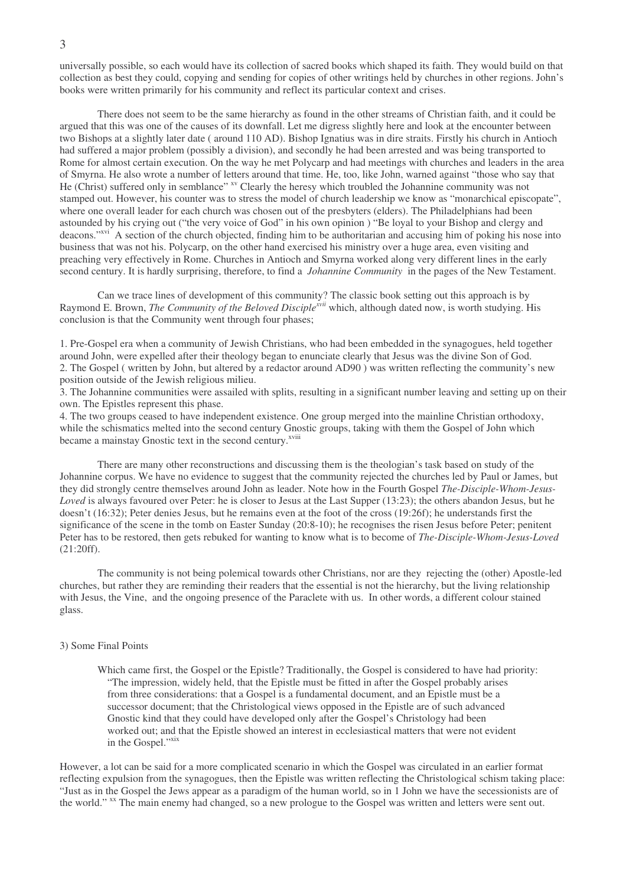universally possible, so each would have its collection of sacred books which shaped its faith. They would build on that collection as best they could, copying and sending for copies of other writings held by churches in other regions. John's books were written primarily for his community and reflect its particular context and crises.

There does not seem to be the same hierarchy as found in the other streams of Christian faith, and it could be argued that this was one of the causes of its downfall. Let me digress slightly here and look at the encounter between two Bishops at a slightly later date ( around 110 AD). Bishop Ignatius was in dire straits. Firstly his church in Antioch had suffered a major problem (possibly a division), and secondly he had been arrested and was being transported to Rome for almost certain execution. On the way he met Polycarp and had meetings with churches and leaders in the area of Smyrna. He also wrote a number of letters around that time. He, too, like John, warned against "those who say that He (Christ) suffered only in semblance" <sup>xv</sup> Clearly the heresy which troubled the Johannine community was not stamped out. However, his counter was to stress the model of church leadership we know as "monarchical episcopate", where one overall leader for each church was chosen out of the presbyters (elders). The Philadelphians had been astounded by his crying out ("the very voice of God" in his own opinion ) "Be loyal to your Bishop and clergy and deacons." xvi A section of the church objected, finding him to be authoritarian and accusing him of poking his nose into business that was not his. Polycarp, on the other hand exercised his ministry over a huge area, even visiting and preaching very effectively in Rome. Churches in Antioch and Smyrna worked along very different lines in the early second century. It is hardly surprising, therefore, to find a *Johannine Community* in the pages of the New Testament.

Can we trace lines of development of this community? The classic book setting out this approach is by Raymond E. Brown, *The Community of the Beloved Disciple<sup>xvii</sup>* which, although dated now, is worth studying. His conclusion is that the Community went through four phases;

1. Pre-Gospel era when a community of Jewish Christians, who had been embedded in the synagogues, held together around John, were expelled after their theology began to enunciate clearly that Jesus was the divine Son of God. 2. The Gospel ( written by John, but altered by a redactor around AD90 ) was written reflecting the community's new position outside of the Jewish religious milieu.

3. The Johannine communities were assailed with splits, resulting in a significant number leaving and setting up on their own. The Epistles represent this phase.

4. The two groups ceased to have independent existence. One group merged into the mainline Christian orthodoxy, while the schismatics melted into the second century Gnostic groups, taking with them the Gospel of John which became a mainstay Gnostic text in the second century.<sup>xviii</sup>

There are many other reconstructions and discussing them is the theologian's task based on study of the Johannine corpus. We have no evidence to suggest that the community rejected the churches led by Paul or James, but they did strongly centre themselves around John as leader. Note how in the Fourth Gospel *The-Disciple-Whom-Jesus-Loved* is always favoured over Peter: he is closer to Jesus at the Last Supper (13:23); the others abandon Jesus, but he doesn't (16:32); Peter denies Jesus, but he remains even at the foot of the cross (19:26f); he understands first the significance of the scene in the tomb on Easter Sunday (20:8-10); he recognises the risen Jesus before Peter; penitent Peter has to be restored, then gets rebuked for wanting to know what is to become of *The-Disciple-Whom-Jesus-Loved* (21:20ff).

The community is not being polemical towards other Christians, nor are they rejecting the (other) Apostle-led churches, but rather they are reminding their readers that the essential is not the hierarchy, but the living relationship with Jesus, the Vine, and the ongoing presence of the Paraclete with us. In other words, a different colour stained glass.

#### 3) Some Final Points

Which came first, the Gospel or the Epistle? Traditionally, the Gospel is considered to have had priority: "The impression, widely held, that the Epistle must be fitted in after the Gospel probably arises from three considerations: that a Gospel is a fundamental document, and an Epistle must be a successor document; that the Christological views opposed in the Epistle are of such advanced Gnostic kind that they could have developed only after the Gospel's Christology had been worked out; and that the Epistle showed an interest in ecclesiastical matters that were not evident in the Gospel."xix

However, a lot can be said for a more complicated scenario in which the Gospel was circulated in an earlier format reflecting expulsion from the synagogues, then the Epistle was written reflecting the Christological schism taking place: "Just as in the Gospel the Jews appear as a paradigm of the human world, so in 1 John we have the secessionists are of the world." <sup>xx</sup> The main enemy had changed, so a new prologue to the Gospel was written and letters were sent out.